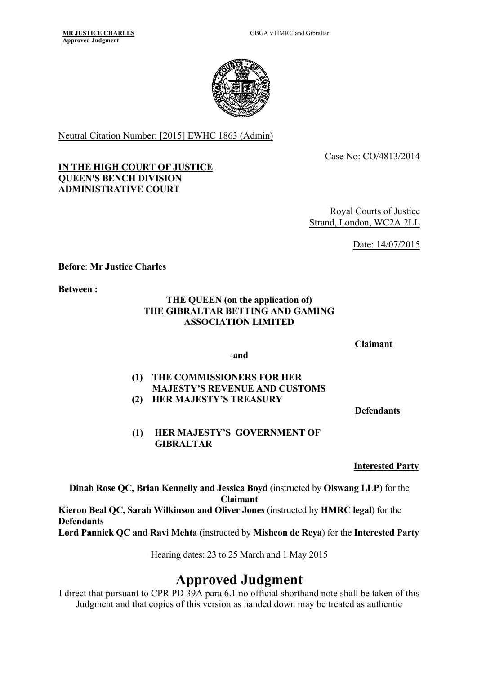

Neutral Citation Number: [2015] EWHC 1863 (Admin)

Case No: CO/4813/2014

#### **IN THE HIGH COURT OF JUSTICE QUEEN'S BENCH DIVISION ADMINISTRATIVE COURT**

Royal Courts of Justice Strand, London, WC2A 2LL

Date: 14/07/2015

**Before**: **Mr Justice Charles**

**Between :**

#### **THE QUEEN (on the application of) THE GIBRALTAR BETTING AND GAMING ASSOCIATION LIMITED**

#### **Claimant**

#### **-and**

#### **(1) THE COMMISSIONERS FOR HER MAJESTY'S REVENUE AND CUSTOMS (2) HER MAJESTY'S TREASURY**

**Defendants**

## **(1) HER MAJESTY'S GOVERNMENT OF GIBRALTAR**

**Interested Party**

**Dinah Rose QC, Brian Kennelly and Jessica Boyd** (instructed by **Olswang LLP**) for the **Claimant**

**Kieron Beal QC, Sarah Wilkinson and Oliver Jones** (instructed by **HMRC legal**) for the **Defendants Lord Pannick QC and Ravi Mehta (**instructed by **Mishcon de Reya**) for the **Interested Party**

Hearing dates: 23 to 25 March and 1 May 2015

# **Approved Judgment**

I direct that pursuant to CPR PD 39A para 6.1 no official shorthand note shall be taken of this Judgment and that copies of this version as handed down may be treated as authentic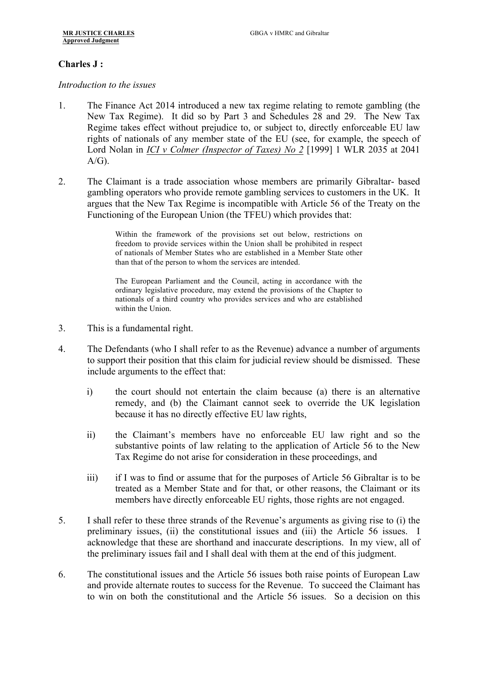#### **Charles J :**

*Introduction to the issues*

- 1. The Finance Act 2014 introduced a new tax regime relating to remote gambling (the New Tax Regime). It did so by Part 3 and Schedules 28 and 29. The New Tax Regime takes effect without prejudice to, or subject to, directly enforceable EU law rights of nationals of any member state of the EU (see, for example, the speech of Lord Nolan in *ICI v Colmer (Inspector of Taxes) No 2* [1999] 1 WLR 2035 at 2041  $A/G$ ).
- 2. The Claimant is a trade association whose members are primarily Gibraltar- based gambling operators who provide remote gambling services to customers in the UK. It argues that the New Tax Regime is incompatible with Article 56 of the Treaty on the Functioning of the European Union (the TFEU) which provides that:

Within the framework of the provisions set out below, restrictions on freedom to provide services within the Union shall be prohibited in respect of nationals of Member States who are established in a Member State other than that of the person to whom the services are intended.

The European Parliament and the Council, acting in accordance with the ordinary legislative procedure, may extend the provisions of the Chapter to nationals of a third country who provides services and who are established within the Union.

- 3. This is a fundamental right.
- 4. The Defendants (who I shall refer to as the Revenue) advance a number of arguments to support their position that this claim for judicial review should be dismissed. These include arguments to the effect that:
	- i) the court should not entertain the claim because (a) there is an alternative remedy, and (b) the Claimant cannot seek to override the UK legislation because it has no directly effective EU law rights,
	- ii) the Claimant's members have no enforceable EU law right and so the substantive points of law relating to the application of Article 56 to the New Tax Regime do not arise for consideration in these proceedings, and
	- iii) if I was to find or assume that for the purposes of Article 56 Gibraltar is to be treated as a Member State and for that, or other reasons, the Claimant or its members have directly enforceable EU rights, those rights are not engaged.
- 5. I shall refer to these three strands of the Revenue's arguments as giving rise to (i) the preliminary issues, (ii) the constitutional issues and (iii) the Article 56 issues. I acknowledge that these are shorthand and inaccurate descriptions. In my view, all of the preliminary issues fail and I shall deal with them at the end of this judgment.
- 6. The constitutional issues and the Article 56 issues both raise points of European Law and provide alternate routes to success for the Revenue. To succeed the Claimant has to win on both the constitutional and the Article 56 issues. So a decision on this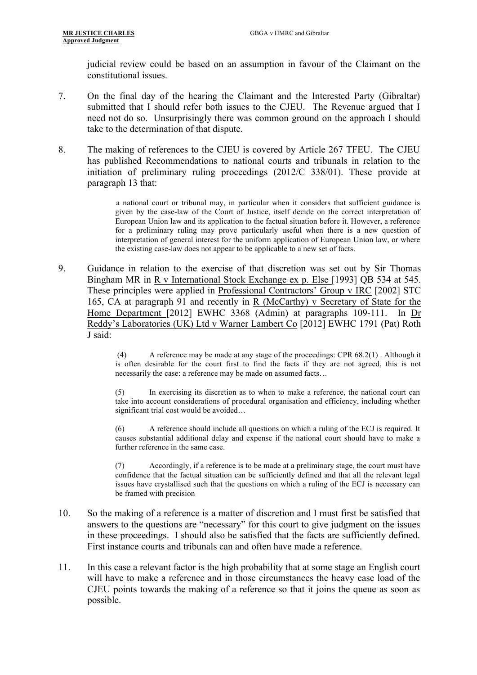judicial review could be based on an assumption in favour of the Claimant on the constitutional issues.

- 7. On the final day of the hearing the Claimant and the Interested Party (Gibraltar) submitted that I should refer both issues to the CJEU. The Revenue argued that I need not do so. Unsurprisingly there was common ground on the approach I should take to the determination of that dispute.
- 8. The making of references to the CJEU is covered by Article 267 TFEU. The CJEU has published Recommendations to national courts and tribunals in relation to the initiation of preliminary ruling proceedings (2012/C 338/01). These provide at paragraph 13 that:

a national court or tribunal may, in particular when it considers that sufficient guidance is given by the case-law of the Court of Justice, itself decide on the correct interpretation of European Union law and its application to the factual situation before it. However, a reference for a preliminary ruling may prove particularly useful when there is a new question of interpretation of general interest for the uniform application of European Union law, or where the existing case-law does not appear to be applicable to a new set of facts.

9. Guidance in relation to the exercise of that discretion was set out by Sir Thomas Bingham MR in R v International Stock Exchange ex p. Else [1993] QB 534 at 545. These principles were applied in Professional Contractors' Group v IRC [2002] STC 165, CA at paragraph 91 and recently in R (McCarthy) v Secretary of State for the Home Department [2012] EWHC 3368 (Admin) at paragraphs 109-111. In Dr Reddy's Laboratories (UK) Ltd v Warner Lambert Co [2012] EWHC 1791 (Pat) Roth J said:

> (4) A reference may be made at any stage of the proceedings: CPR 68.2(1) . Although it is often desirable for the court first to find the facts if they are not agreed, this is not necessarily the case: a reference may be made on assumed facts…

> (5) In exercising its discretion as to when to make a reference, the national court can take into account considerations of procedural organisation and efficiency, including whether significant trial cost would be avoided…

> (6) A reference should include all questions on which a ruling of the ECJ is required. It causes substantial additional delay and expense if the national court should have to make a further reference in the same case.

> (7) Accordingly, if a reference is to be made at a preliminary stage, the court must have confidence that the factual situation can be sufficiently defined and that all the relevant legal issues have crystallised such that the questions on which a ruling of the ECJ is necessary can be framed with precision

- 10. So the making of a reference is a matter of discretion and I must first be satisfied that answers to the questions are "necessary" for this court to give judgment on the issues in these proceedings. I should also be satisfied that the facts are sufficiently defined. First instance courts and tribunals can and often have made a reference.
- 11. In this case a relevant factor is the high probability that at some stage an English court will have to make a reference and in those circumstances the heavy case load of the CJEU points towards the making of a reference so that it joins the queue as soon as possible.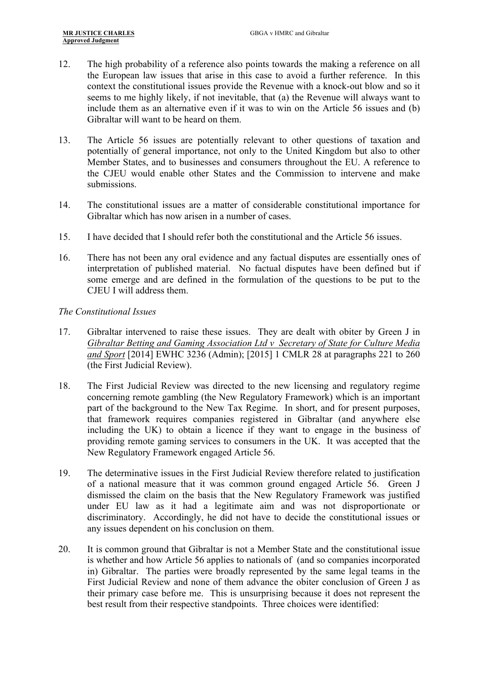- 12. The high probability of a reference also points towards the making a reference on all the European law issues that arise in this case to avoid a further reference. In this context the constitutional issues provide the Revenue with a knock-out blow and so it seems to me highly likely, if not inevitable, that (a) the Revenue will always want to include them as an alternative even if it was to win on the Article 56 issues and (b) Gibraltar will want to be heard on them.
- 13. The Article 56 issues are potentially relevant to other questions of taxation and potentially of general importance, not only to the United Kingdom but also to other Member States, and to businesses and consumers throughout the EU. A reference to the CJEU would enable other States and the Commission to intervene and make submissions.
- 14. The constitutional issues are a matter of considerable constitutional importance for Gibraltar which has now arisen in a number of cases.
- 15. I have decided that I should refer both the constitutional and the Article 56 issues.
- 16. There has not been any oral evidence and any factual disputes are essentially ones of interpretation of published material. No factual disputes have been defined but if some emerge and are defined in the formulation of the questions to be put to the CJEU I will address them.

#### *The Constitutional Issues*

- 17. Gibraltar intervened to raise these issues. They are dealt with obiter by Green J in *Gibraltar Betting and Gaming Association Ltd v Secretary of State for Culture Media and Sport* [2014] EWHC 3236 (Admin); [2015] 1 CMLR 28 at paragraphs 221 to 260 (the First Judicial Review).
- 18. The First Judicial Review was directed to the new licensing and regulatory regime concerning remote gambling (the New Regulatory Framework) which is an important part of the background to the New Tax Regime. In short, and for present purposes, that framework requires companies registered in Gibraltar (and anywhere else including the UK) to obtain a licence if they want to engage in the business of providing remote gaming services to consumers in the UK. It was accepted that the New Regulatory Framework engaged Article 56.
- 19. The determinative issues in the First Judicial Review therefore related to justification of a national measure that it was common ground engaged Article 56. Green J dismissed the claim on the basis that the New Regulatory Framework was justified under EU law as it had a legitimate aim and was not disproportionate or discriminatory. Accordingly, he did not have to decide the constitutional issues or any issues dependent on his conclusion on them.
- 20. It is common ground that Gibraltar is not a Member State and the constitutional issue is whether and how Article 56 applies to nationals of (and so companies incorporated in) Gibraltar. The parties were broadly represented by the same legal teams in the First Judicial Review and none of them advance the obiter conclusion of Green J as their primary case before me. This is unsurprising because it does not represent the best result from their respective standpoints. Three choices were identified: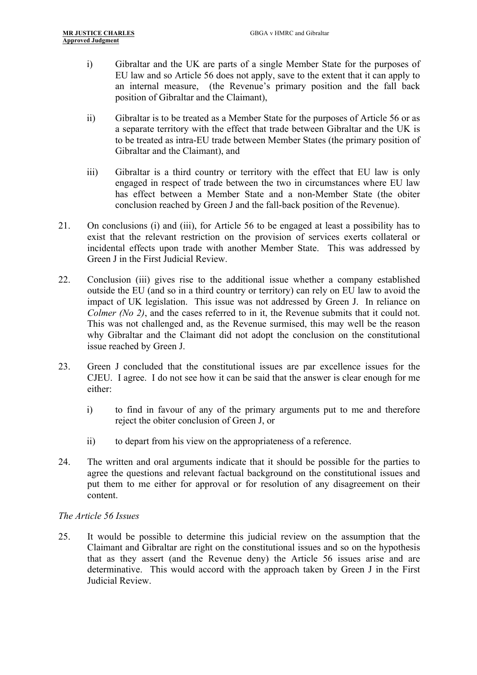- i) Gibraltar and the UK are parts of a single Member State for the purposes of EU law and so Article 56 does not apply, save to the extent that it can apply to an internal measure, (the Revenue's primary position and the fall back position of Gibraltar and the Claimant),
- ii) Gibraltar is to be treated as a Member State for the purposes of Article 56 or as a separate territory with the effect that trade between Gibraltar and the UK is to be treated as intra-EU trade between Member States (the primary position of Gibraltar and the Claimant), and
- iii) Gibraltar is a third country or territory with the effect that EU law is only engaged in respect of trade between the two in circumstances where EU law has effect between a Member State and a non-Member State (the obiter conclusion reached by Green J and the fall-back position of the Revenue).
- 21. On conclusions (i) and (iii), for Article 56 to be engaged at least a possibility has to exist that the relevant restriction on the provision of services exerts collateral or incidental effects upon trade with another Member State. This was addressed by Green J in the First Judicial Review.
- 22. Conclusion (iii) gives rise to the additional issue whether a company established outside the EU (and so in a third country or territory) can rely on EU law to avoid the impact of UK legislation. This issue was not addressed by Green J. In reliance on *Colmer (No 2)*, and the cases referred to in it, the Revenue submits that it could not. This was not challenged and, as the Revenue surmised, this may well be the reason why Gibraltar and the Claimant did not adopt the conclusion on the constitutional issue reached by Green J.
- 23. Green J concluded that the constitutional issues are par excellence issues for the CJEU. I agree. I do not see how it can be said that the answer is clear enough for me either:
	- i) to find in favour of any of the primary arguments put to me and therefore reject the obiter conclusion of Green J, or
	- ii) to depart from his view on the appropriateness of a reference.
- 24. The written and oral arguments indicate that it should be possible for the parties to agree the questions and relevant factual background on the constitutional issues and put them to me either for approval or for resolution of any disagreement on their content.

#### *The Article 56 Issues*

25. It would be possible to determine this judicial review on the assumption that the Claimant and Gibraltar are right on the constitutional issues and so on the hypothesis that as they assert (and the Revenue deny) the Article 56 issues arise and are determinative. This would accord with the approach taken by Green J in the First Judicial Review.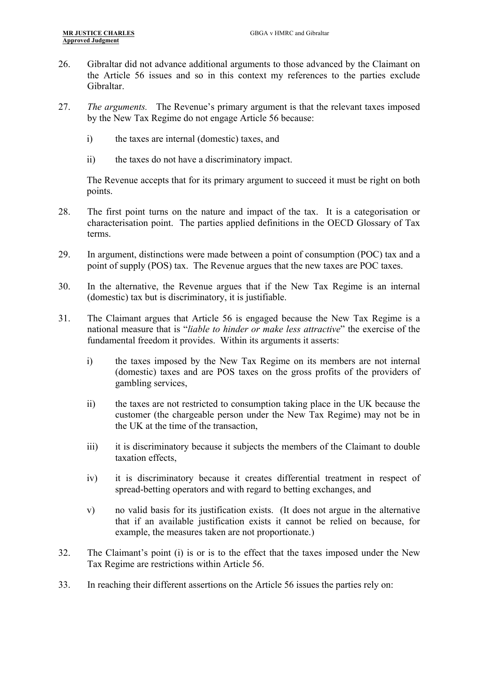- 26. Gibraltar did not advance additional arguments to those advanced by the Claimant on the Article 56 issues and so in this context my references to the parties exclude Gibraltar.
- 27. *The arguments.* The Revenue's primary argument is that the relevant taxes imposed by the New Tax Regime do not engage Article 56 because:
	- i) the taxes are internal (domestic) taxes, and
	- ii) the taxes do not have a discriminatory impact.

The Revenue accepts that for its primary argument to succeed it must be right on both points.

- 28. The first point turns on the nature and impact of the tax. It is a categorisation or characterisation point. The parties applied definitions in the OECD Glossary of Tax terms.
- 29. In argument, distinctions were made between a point of consumption (POC) tax and a point of supply (POS) tax. The Revenue argues that the new taxes are POC taxes.
- 30. In the alternative, the Revenue argues that if the New Tax Regime is an internal (domestic) tax but is discriminatory, it is justifiable.
- 31. The Claimant argues that Article 56 is engaged because the New Tax Regime is a national measure that is "*liable to hinder or make less attractive*" the exercise of the fundamental freedom it provides. Within its arguments it asserts:
	- i) the taxes imposed by the New Tax Regime on its members are not internal (domestic) taxes and are POS taxes on the gross profits of the providers of gambling services,
	- ii) the taxes are not restricted to consumption taking place in the UK because the customer (the chargeable person under the New Tax Regime) may not be in the UK at the time of the transaction,
	- iii) it is discriminatory because it subjects the members of the Claimant to double taxation effects,
	- iv) it is discriminatory because it creates differential treatment in respect of spread-betting operators and with regard to betting exchanges, and
	- v) no valid basis for its justification exists. (It does not argue in the alternative that if an available justification exists it cannot be relied on because, for example, the measures taken are not proportionate.)
- 32. The Claimant's point (i) is or is to the effect that the taxes imposed under the New Tax Regime are restrictions within Article 56.
- 33. In reaching their different assertions on the Article 56 issues the parties rely on: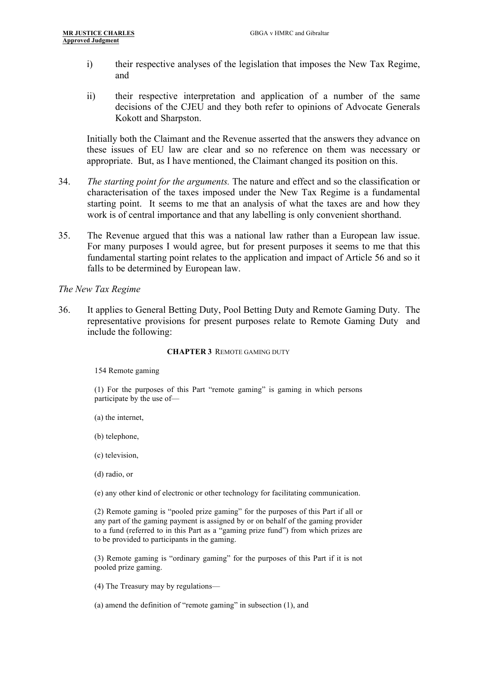- i) their respective analyses of the legislation that imposes the New Tax Regime, and
- ii) their respective interpretation and application of a number of the same decisions of the CJEU and they both refer to opinions of Advocate Generals Kokott and Sharpston.

Initially both the Claimant and the Revenue asserted that the answers they advance on these issues of EU law are clear and so no reference on them was necessary or appropriate. But, as I have mentioned, the Claimant changed its position on this.

- 34. *The starting point for the arguments.* The nature and effect and so the classification or characterisation of the taxes imposed under the New Tax Regime is a fundamental starting point. It seems to me that an analysis of what the taxes are and how they work is of central importance and that any labelling is only convenient shorthand.
- 35. The Revenue argued that this was a national law rather than a European law issue. For many purposes I would agree, but for present purposes it seems to me that this fundamental starting point relates to the application and impact of Article 56 and so it falls to be determined by European law.

#### *The New Tax Regime*

36. It applies to General Betting Duty, Pool Betting Duty and Remote Gaming Duty. The representative provisions for present purposes relate to Remote Gaming Duty and include the following:

#### **CHAPTER 3** REMOTE GAMING DUTY

154 Remote gaming

(1) For the purposes of this Part "remote gaming" is gaming in which persons participate by the use of—

- (a) the internet,
- (b) telephone,
- (c) television,
- (d) radio, or

(e) any other kind of electronic or other technology for facilitating communication.

(2) Remote gaming is "pooled prize gaming" for the purposes of this Part if all or any part of the gaming payment is assigned by or on behalf of the gaming provider to a fund (referred to in this Part as a "gaming prize fund") from which prizes are to be provided to participants in the gaming.

(3) Remote gaming is "ordinary gaming" for the purposes of this Part if it is not pooled prize gaming.

(4) The Treasury may by regulations—

(a) amend the definition of "remote gaming" in subsection (1), and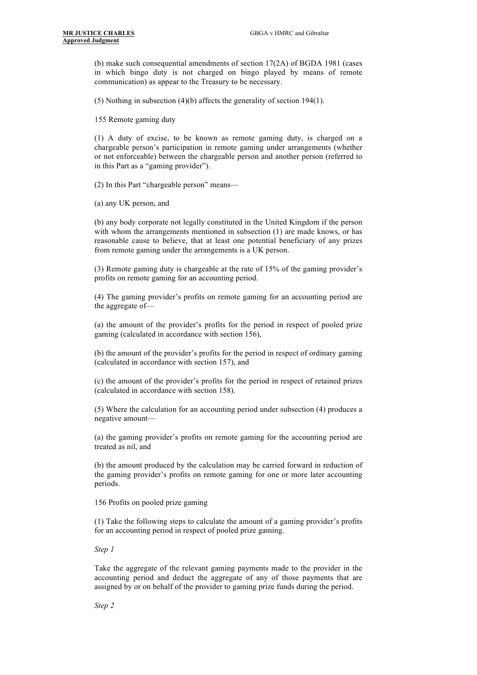(b) make such consequential amendments of section  $17(2A)$  of BGDA 1981 (cases in which bingo duty is not charged on bingo played by means of remote communication) as appear to the Treasury to be necessary.

(5) Nothing in subsection (4)(b) affects the generality of section 194(1).

155 Remote gaming duty

(1) A duty of excise, to be known as remote gaming duty, is charged on a chargeable person's participation in remote gaming under arrangements (whether or not enforceable) between the chargeable person and another person (referred to in this Part as a "gaming provider").

(2) In this Part "chargeable person" means—

(a) any UK person, and

(b) any body corporate not legally constituted in the United Kingdom if the person with whom the arrangements mentioned in subsection (1) are made knows, or has reasonable cause to believe, that at least one potential beneficiary of any prizes from remote gaming under the arrangements is a UK person.

(3) Remote gaming duty is chargeable at the rate of 15% of the gaming provider's profits on remote gaming for an accounting period.

(4) The gaming provider's profits on remote gaming for an accounting period are the aggregate of—

(a) the amount of the provider's profits for the period in respect of pooled prize gaming (calculated in accordance with section 156),

(b) the amount of the provider's profits for the period in respect of ordinary gaming (calculated in accordance with section 157), and

(c) the amount of the provider's profits for the period in respect of retained prizes (calculated in accordance with section 158).

(5) Where the calculation for an accounting period under subsection (4) produces a negative amount—

(a) the gaming provider's profits on remote gaming for the accounting period are treated as nil, and

(b) the amount produced by the calculation may be carried forward in reduction of the gaming provider's profits on remote gaming for one or more later accounting periods.

156 Profits on pooled prize gaming

(1) Take the following steps to calculate the amount of a gaming provider's profits for an accounting period in respect of pooled prize gaming.

*Step 1*

Take the aggregate of the relevant gaming payments made to the provider in the accounting period and deduct the aggregate of any of those payments that are assigned by or on behalf of the provider to gaming prize funds during the period.

*Step 2*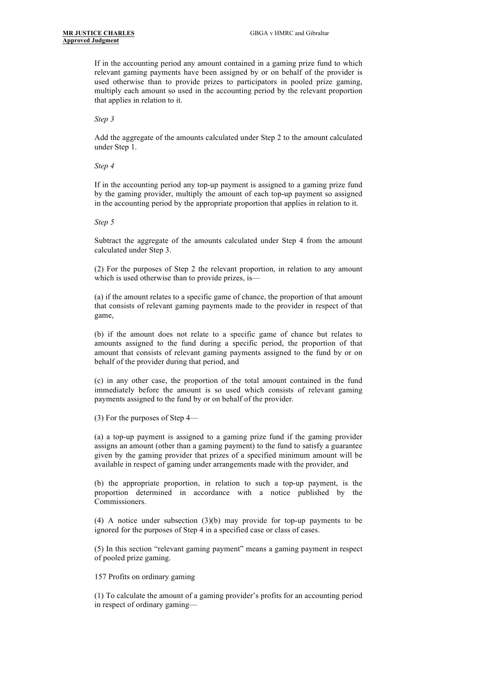If in the accounting period any amount contained in a gaming prize fund to which relevant gaming payments have been assigned by or on behalf of the provider is used otherwise than to provide prizes to participators in pooled prize gaming, multiply each amount so used in the accounting period by the relevant proportion that applies in relation to it.

*Step 3*

Add the aggregate of the amounts calculated under Step 2 to the amount calculated under Step 1.

*Step 4*

If in the accounting period any top-up payment is assigned to a gaming prize fund by the gaming provider, multiply the amount of each top-up payment so assigned in the accounting period by the appropriate proportion that applies in relation to it.

*Step 5*

Subtract the aggregate of the amounts calculated under Step 4 from the amount calculated under Step 3.

(2) For the purposes of Step 2 the relevant proportion, in relation to any amount which is used otherwise than to provide prizes, is—

(a) if the amount relates to a specific game of chance, the proportion of that amount that consists of relevant gaming payments made to the provider in respect of that game,

(b) if the amount does not relate to a specific game of chance but relates to amounts assigned to the fund during a specific period, the proportion of that amount that consists of relevant gaming payments assigned to the fund by or on behalf of the provider during that period, and

(c) in any other case, the proportion of the total amount contained in the fund immediately before the amount is so used which consists of relevant gaming payments assigned to the fund by or on behalf of the provider.

(3) For the purposes of Step 4—

(a) a top-up payment is assigned to a gaming prize fund if the gaming provider assigns an amount (other than a gaming payment) to the fund to satisfy a guarantee given by the gaming provider that prizes of a specified minimum amount will be available in respect of gaming under arrangements made with the provider, and

(b) the appropriate proportion, in relation to such a top-up payment, is the proportion determined in accordance with a notice published by the Commissioners.

(4) A notice under subsection (3)(b) may provide for top-up payments to be ignored for the purposes of Step 4 in a specified case or class of cases.

(5) In this section "relevant gaming payment" means a gaming payment in respect of pooled prize gaming.

157 Profits on ordinary gaming

(1) To calculate the amount of a gaming provider's profits for an accounting period in respect of ordinary gaming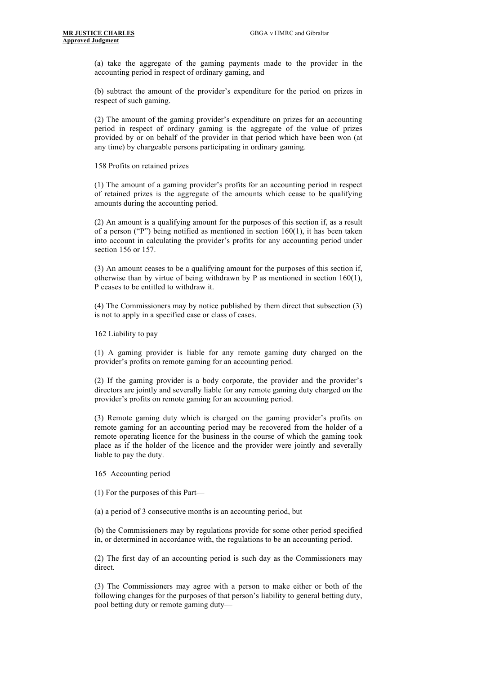(a) take the aggregate of the gaming payments made to the provider in the accounting period in respect of ordinary gaming, and

(b) subtract the amount of the provider's expenditure for the period on prizes in respect of such gaming.

(2) The amount of the gaming provider's expenditure on prizes for an accounting period in respect of ordinary gaming is the aggregate of the value of prizes provided by or on behalf of the provider in that period which have been won (at any time) by chargeable persons participating in ordinary gaming.

158 Profits on retained prizes

(1) The amount of a gaming provider's profits for an accounting period in respect of retained prizes is the aggregate of the amounts which cease to be qualifying amounts during the accounting period.

(2) An amount is a qualifying amount for the purposes of this section if, as a result of a person ("P") being notified as mentioned in section  $160(1)$ , it has been taken into account in calculating the provider's profits for any accounting period under section 156 or 157.

(3) An amount ceases to be a qualifying amount for the purposes of this section if, otherwise than by virtue of being withdrawn by P as mentioned in section 160(1), P ceases to be entitled to withdraw it.

(4) The Commissioners may by notice published by them direct that subsection (3) is not to apply in a specified case or class of cases.

162 Liability to pay

(1) A gaming provider is liable for any remote gaming duty charged on the provider's profits on remote gaming for an accounting period.

(2) If the gaming provider is a body corporate, the provider and the provider's directors are jointly and severally liable for any remote gaming duty charged on the provider's profits on remote gaming for an accounting period.

(3) Remote gaming duty which is charged on the gaming provider's profits on remote gaming for an accounting period may be recovered from the holder of a remote operating licence for the business in the course of which the gaming took place as if the holder of the licence and the provider were jointly and severally liable to pay the duty.

165 Accounting period

(1) For the purposes of this Part—

(a) a period of 3 consecutive months is an accounting period, but

(b) the Commissioners may by regulations provide for some other period specified in, or determined in accordance with, the regulations to be an accounting period.

(2) The first day of an accounting period is such day as the Commissioners may direct.

(3) The Commissioners may agree with a person to make either or both of the following changes for the purposes of that person's liability to general betting duty, pool betting duty or remote gaming duty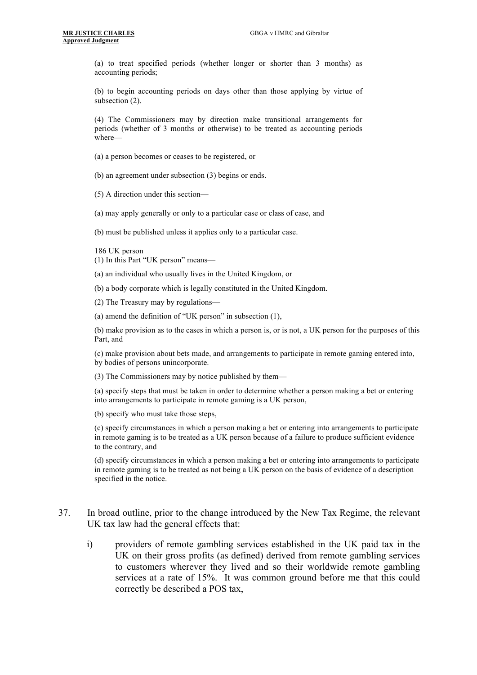(a) to treat specified periods (whether longer or shorter than 3 months) as accounting periods;

(b) to begin accounting periods on days other than those applying by virtue of subsection (2).

(4) The Commissioners may by direction make transitional arrangements for periods (whether of 3 months or otherwise) to be treated as accounting periods where—

- (a) a person becomes or ceases to be registered, or
- (b) an agreement under subsection (3) begins or ends.

(5) A direction under this section—

(a) may apply generally or only to a particular case or class of case, and

(b) must be published unless it applies only to a particular case.

186 UK person

(1) In this Part "UK person" means—

(a) an individual who usually lives in the United Kingdom, or

(b) a body corporate which is legally constituted in the United Kingdom.

(2) The Treasury may by regulations—

(a) amend the definition of "UK person" in subsection (1),

(b) make provision as to the cases in which a person is, or is not, a UK person for the purposes of this Part, and

(c) make provision about bets made, and arrangements to participate in remote gaming entered into, by bodies of persons unincorporate.

(3) The Commissioners may by notice published by them—

(a) specify steps that must be taken in order to determine whether a person making a bet or entering into arrangements to participate in remote gaming is a UK person,

(b) specify who must take those steps,

(c) specify circumstances in which a person making a bet or entering into arrangements to participate in remote gaming is to be treated as a UK person because of a failure to produce sufficient evidence to the contrary, and

(d) specify circumstances in which a person making a bet or entering into arrangements to participate in remote gaming is to be treated as not being a UK person on the basis of evidence of a description specified in the notice.

- 37. In broad outline, prior to the change introduced by the New Tax Regime, the relevant UK tax law had the general effects that:
	- i) providers of remote gambling services established in the UK paid tax in the UK on their gross profits (as defined) derived from remote gambling services to customers wherever they lived and so their worldwide remote gambling services at a rate of 15%. It was common ground before me that this could correctly be described a POS tax,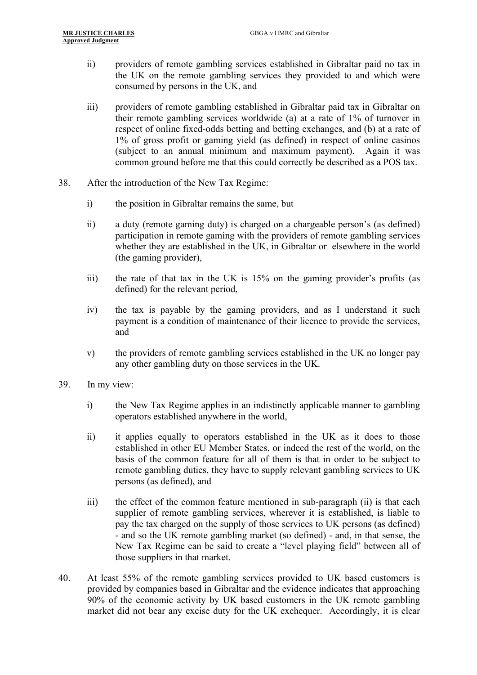- ii) providers of remote gambling services established in Gibraltar paid no tax in the UK on the remote gambling services they provided to and which were consumed by persons in the UK, and
- iii) providers of remote gambling established in Gibraltar paid tax in Gibraltar on their remote gambling services worldwide (a) at a rate of 1% of turnover in respect of online fixed-odds betting and betting exchanges, and (b) at a rate of 1% of gross profit or gaming yield (as defined) in respect of online casinos (subject to an annual minimum and maximum payment). Again it was common ground before me that this could correctly be described as a POS tax.
- 38. After the introduction of the New Tax Regime:
	- i) the position in Gibraltar remains the same, but
	- ii) a duty (remote gaming duty) is charged on a chargeable person's (as defined) participation in remote gaming with the providers of remote gambling services whether they are established in the UK, in Gibraltar or elsewhere in the world (the gaming provider),
	- iii) the rate of that tax in the UK is 15% on the gaming provider's profits (as defined) for the relevant period,
	- iv) the tax is payable by the gaming providers, and as I understand it such payment is a condition of maintenance of their licence to provide the services, and
	- v) the providers of remote gambling services established in the UK no longer pay any other gambling duty on those services in the UK.
- 39. In my view:
	- i) the New Tax Regime applies in an indistinctly applicable manner to gambling operators established anywhere in the world,
	- ii) it applies equally to operators established in the UK as it does to those established in other EU Member States, or indeed the rest of the world, on the basis of the common feature for all of them is that in order to be subject to remote gambling duties, they have to supply relevant gambling services to UK persons (as defined), and
	- iii) the effect of the common feature mentioned in sub-paragraph (ii) is that each supplier of remote gambling services, wherever it is established, is liable to pay the tax charged on the supply of those services to UK persons (as defined) - and so the UK remote gambling market (so defined) - and, in that sense, the New Tax Regime can be said to create a "level playing field" between all of those suppliers in that market.
- 40. At least 55% of the remote gambling services provided to UK based customers is provided by companies based in Gibraltar and the evidence indicates that approaching 90% of the economic activity by UK based customers in the UK remote gambling market did not bear any excise duty for the UK exchequer. Accordingly, it is clear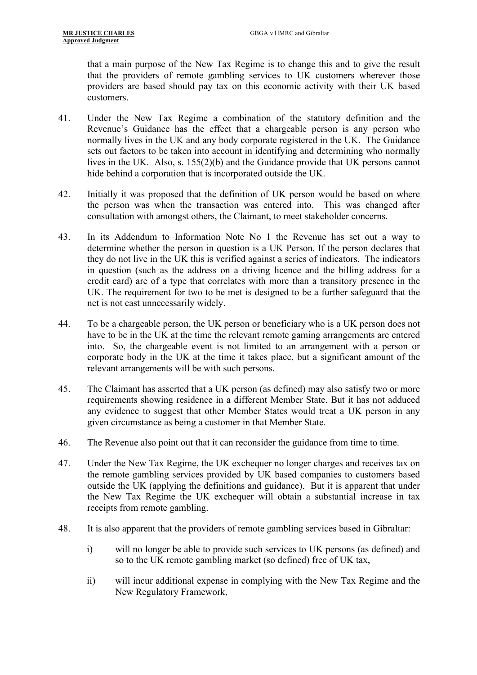that a main purpose of the New Tax Regime is to change this and to give the result that the providers of remote gambling services to UK customers wherever those providers are based should pay tax on this economic activity with their UK based customers.

- 41. Under the New Tax Regime a combination of the statutory definition and the Revenue's Guidance has the effect that a chargeable person is any person who normally lives in the UK and any body corporate registered in the UK. The Guidance sets out factors to be taken into account in identifying and determining who normally lives in the UK. Also, s. 155(2)(b) and the Guidance provide that UK persons cannot hide behind a corporation that is incorporated outside the UK.
- 42. Initially it was proposed that the definition of UK person would be based on where the person was when the transaction was entered into. This was changed after consultation with amongst others, the Claimant, to meet stakeholder concerns.
- 43. In its Addendum to Information Note No 1 the Revenue has set out a way to determine whether the person in question is a UK Person. If the person declares that they do not live in the UK this is verified against a series of indicators. The indicators in question (such as the address on a driving licence and the billing address for a credit card) are of a type that correlates with more than a transitory presence in the UK. The requirement for two to be met is designed to be a further safeguard that the net is not cast unnecessarily widely.
- 44. To be a chargeable person, the UK person or beneficiary who is a UK person does not have to be in the UK at the time the relevant remote gaming arrangements are entered into. So, the chargeable event is not limited to an arrangement with a person or corporate body in the UK at the time it takes place, but a significant amount of the relevant arrangements will be with such persons.
- 45. The Claimant has asserted that a UK person (as defined) may also satisfy two or more requirements showing residence in a different Member State. But it has not adduced any evidence to suggest that other Member States would treat a UK person in any given circumstance as being a customer in that Member State.
- 46. The Revenue also point out that it can reconsider the guidance from time to time.
- 47. Under the New Tax Regime, the UK exchequer no longer charges and receives tax on the remote gambling services provided by UK based companies to customers based outside the UK (applying the definitions and guidance). But it is apparent that under the New Tax Regime the UK exchequer will obtain a substantial increase in tax receipts from remote gambling.
- 48. It is also apparent that the providers of remote gambling services based in Gibraltar:
	- i) will no longer be able to provide such services to UK persons (as defined) and so to the UK remote gambling market (so defined) free of UK tax,
	- ii) will incur additional expense in complying with the New Tax Regime and the New Regulatory Framework,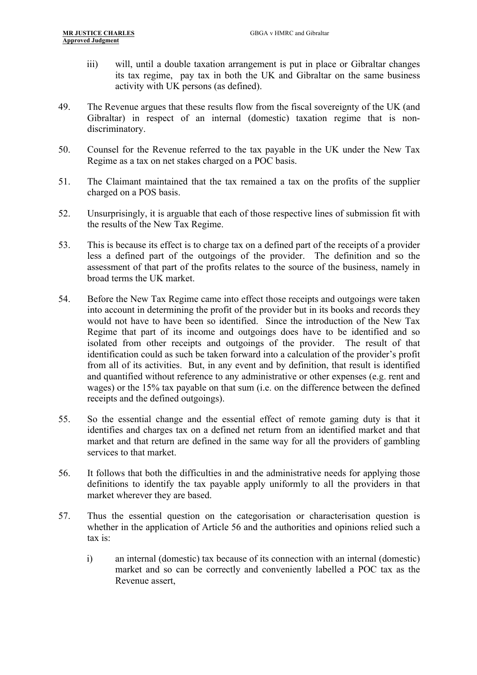- iii) will, until a double taxation arrangement is put in place or Gibraltar changes its tax regime, pay tax in both the UK and Gibraltar on the same business activity with UK persons (as defined).
- 49. The Revenue argues that these results flow from the fiscal sovereignty of the UK (and Gibraltar) in respect of an internal (domestic) taxation regime that is nondiscriminatory.
- 50. Counsel for the Revenue referred to the tax payable in the UK under the New Tax Regime as a tax on net stakes charged on a POC basis.
- 51. The Claimant maintained that the tax remained a tax on the profits of the supplier charged on a POS basis.
- 52. Unsurprisingly, it is arguable that each of those respective lines of submission fit with the results of the New Tax Regime.
- 53. This is because its effect is to charge tax on a defined part of the receipts of a provider less a defined part of the outgoings of the provider. The definition and so the assessment of that part of the profits relates to the source of the business, namely in broad terms the UK market.
- 54. Before the New Tax Regime came into effect those receipts and outgoings were taken into account in determining the profit of the provider but in its books and records they would not have to have been so identified. Since the introduction of the New Tax Regime that part of its income and outgoings does have to be identified and so isolated from other receipts and outgoings of the provider. The result of that identification could as such be taken forward into a calculation of the provider's profit from all of its activities. But, in any event and by definition, that result is identified and quantified without reference to any administrative or other expenses (e.g. rent and wages) or the 15% tax payable on that sum (i.e. on the difference between the defined receipts and the defined outgoings).
- 55. So the essential change and the essential effect of remote gaming duty is that it identifies and charges tax on a defined net return from an identified market and that market and that return are defined in the same way for all the providers of gambling services to that market.
- 56. It follows that both the difficulties in and the administrative needs for applying those definitions to identify the tax payable apply uniformly to all the providers in that market wherever they are based.
- 57. Thus the essential question on the categorisation or characterisation question is whether in the application of Article 56 and the authorities and opinions relied such a tax is:
	- i) an internal (domestic) tax because of its connection with an internal (domestic) market and so can be correctly and conveniently labelled a POC tax as the Revenue assert,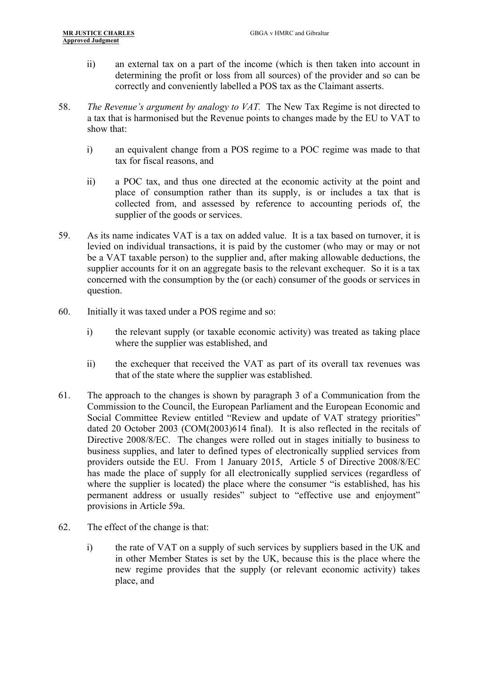- ii) an external tax on a part of the income (which is then taken into account in determining the profit or loss from all sources) of the provider and so can be correctly and conveniently labelled a POS tax as the Claimant asserts.
- 58. *The Revenue's argument by analogy to VAT.* The New Tax Regime is not directed to a tax that is harmonised but the Revenue points to changes made by the EU to VAT to show that:
	- i) an equivalent change from a POS regime to a POC regime was made to that tax for fiscal reasons, and
	- ii) a POC tax, and thus one directed at the economic activity at the point and place of consumption rather than its supply, is or includes a tax that is collected from, and assessed by reference to accounting periods of, the supplier of the goods or services.
- 59. As its name indicates VAT is a tax on added value. It is a tax based on turnover, it is levied on individual transactions, it is paid by the customer (who may or may or not be a VAT taxable person) to the supplier and, after making allowable deductions, the supplier accounts for it on an aggregate basis to the relevant exchequer. So it is a tax concerned with the consumption by the (or each) consumer of the goods or services in question.
- 60. Initially it was taxed under a POS regime and so:
	- i) the relevant supply (or taxable economic activity) was treated as taking place where the supplier was established, and
	- ii) the exchequer that received the VAT as part of its overall tax revenues was that of the state where the supplier was established.
- 61. The approach to the changes is shown by paragraph 3 of a Communication from the Commission to the Council, the European Parliament and the European Economic and Social Committee Review entitled "Review and update of VAT strategy priorities" dated 20 October 2003 (COM(2003)614 final). It is also reflected in the recitals of Directive 2008/8/EC. The changes were rolled out in stages initially to business to business supplies, and later to defined types of electronically supplied services from providers outside the EU. From 1 January 2015, Article 5 of Directive 2008/8/EC has made the place of supply for all electronically supplied services (regardless of where the supplier is located) the place where the consumer "is established, has his permanent address or usually resides" subject to "effective use and enjoyment" provisions in Article 59a.
- 62. The effect of the change is that:
	- i) the rate of VAT on a supply of such services by suppliers based in the UK and in other Member States is set by the UK, because this is the place where the new regime provides that the supply (or relevant economic activity) takes place, and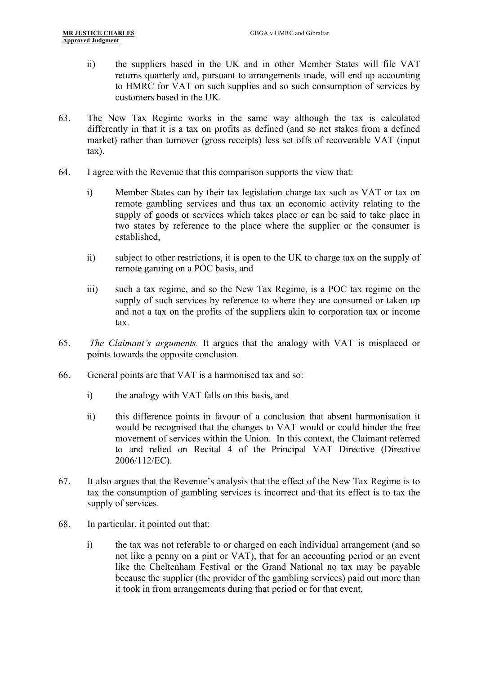- ii) the suppliers based in the UK and in other Member States will file VAT returns quarterly and, pursuant to arrangements made, will end up accounting to HMRC for VAT on such supplies and so such consumption of services by customers based in the UK.
- 63. The New Tax Regime works in the same way although the tax is calculated differently in that it is a tax on profits as defined (and so net stakes from a defined market) rather than turnover (gross receipts) less set offs of recoverable VAT (input tax).
- 64. I agree with the Revenue that this comparison supports the view that:
	- i) Member States can by their tax legislation charge tax such as VAT or tax on remote gambling services and thus tax an economic activity relating to the supply of goods or services which takes place or can be said to take place in two states by reference to the place where the supplier or the consumer is established,
	- ii) subject to other restrictions, it is open to the UK to charge tax on the supply of remote gaming on a POC basis, and
	- iii) such a tax regime, and so the New Tax Regime, is a POC tax regime on the supply of such services by reference to where they are consumed or taken up and not a tax on the profits of the suppliers akin to corporation tax or income tax.
- 65. *The Claimant's arguments.* It argues that the analogy with VAT is misplaced or points towards the opposite conclusion.
- 66. General points are that VAT is a harmonised tax and so:
	- i) the analogy with VAT falls on this basis, and
	- ii) this difference points in favour of a conclusion that absent harmonisation it would be recognised that the changes to VAT would or could hinder the free movement of services within the Union. In this context, the Claimant referred to and relied on Recital 4 of the Principal VAT Directive (Directive 2006/112/EC).
- 67. It also argues that the Revenue's analysis that the effect of the New Tax Regime is to tax the consumption of gambling services is incorrect and that its effect is to tax the supply of services.
- 68. In particular, it pointed out that:
	- i) the tax was not referable to or charged on each individual arrangement (and so not like a penny on a pint or VAT), that for an accounting period or an event like the Cheltenham Festival or the Grand National no tax may be payable because the supplier (the provider of the gambling services) paid out more than it took in from arrangements during that period or for that event,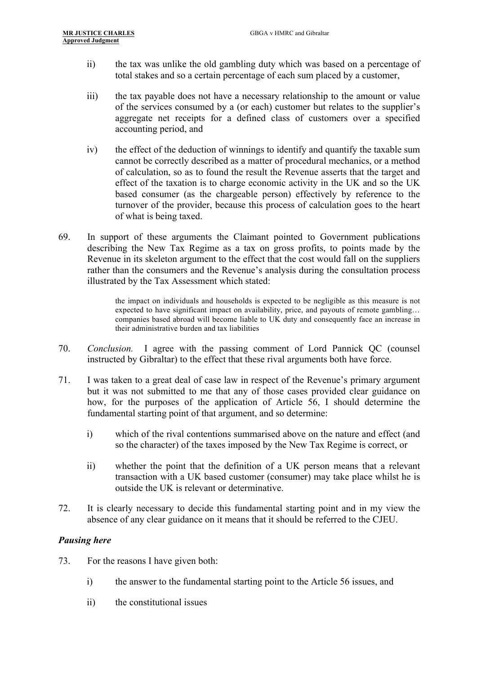- ii) the tax was unlike the old gambling duty which was based on a percentage of total stakes and so a certain percentage of each sum placed by a customer,
- iii) the tax payable does not have a necessary relationship to the amount or value of the services consumed by a (or each) customer but relates to the supplier's aggregate net receipts for a defined class of customers over a specified accounting period, and
- iv) the effect of the deduction of winnings to identify and quantify the taxable sum cannot be correctly described as a matter of procedural mechanics, or a method of calculation, so as to found the result the Revenue asserts that the target and effect of the taxation is to charge economic activity in the UK and so the UK based consumer (as the chargeable person) effectively by reference to the turnover of the provider, because this process of calculation goes to the heart of what is being taxed.
- 69. In support of these arguments the Claimant pointed to Government publications describing the New Tax Regime as a tax on gross profits, to points made by the Revenue in its skeleton argument to the effect that the cost would fall on the suppliers rather than the consumers and the Revenue's analysis during the consultation process illustrated by the Tax Assessment which stated:

the impact on individuals and households is expected to be negligible as this measure is not expected to have significant impact on availability, price, and payouts of remote gambling… companies based abroad will become liable to UK duty and consequently face an increase in their administrative burden and tax liabilities

- 70. *Conclusion.* I agree with the passing comment of Lord Pannick QC (counsel instructed by Gibraltar) to the effect that these rival arguments both have force.
- 71. I was taken to a great deal of case law in respect of the Revenue's primary argument but it was not submitted to me that any of those cases provided clear guidance on how, for the purposes of the application of Article 56, I should determine the fundamental starting point of that argument, and so determine:
	- i) which of the rival contentions summarised above on the nature and effect (and so the character) of the taxes imposed by the New Tax Regime is correct, or
	- ii) whether the point that the definition of a UK person means that a relevant transaction with a UK based customer (consumer) may take place whilst he is outside the UK is relevant or determinative.
- 72. It is clearly necessary to decide this fundamental starting point and in my view the absence of any clear guidance on it means that it should be referred to the CJEU.

#### *Pausing here*

- 73. For the reasons I have given both:
	- i) the answer to the fundamental starting point to the Article 56 issues, and
	- ii) the constitutional issues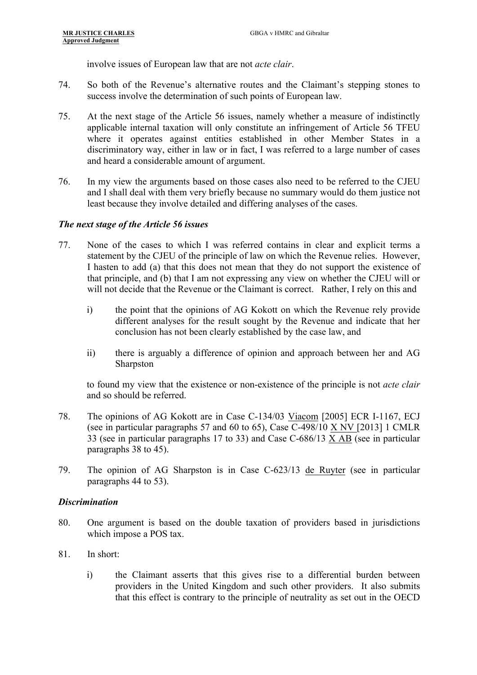involve issues of European law that are not *acte clair*.

- 74. So both of the Revenue's alternative routes and the Claimant's stepping stones to success involve the determination of such points of European law.
- 75. At the next stage of the Article 56 issues, namely whether a measure of indistinctly applicable internal taxation will only constitute an infringement of Article 56 TFEU where it operates against entities established in other Member States in a discriminatory way, either in law or in fact, I was referred to a large number of cases and heard a considerable amount of argument.
- 76. In my view the arguments based on those cases also need to be referred to the CJEU and I shall deal with them very briefly because no summary would do them justice not least because they involve detailed and differing analyses of the cases.

#### *The next stage of the Article 56 issues*

- 77. None of the cases to which I was referred contains in clear and explicit terms a statement by the CJEU of the principle of law on which the Revenue relies. However, I hasten to add (a) that this does not mean that they do not support the existence of that principle, and (b) that I am not expressing any view on whether the CJEU will or will not decide that the Revenue or the Claimant is correct. Rather, I rely on this and
	- i) the point that the opinions of AG Kokott on which the Revenue rely provide different analyses for the result sought by the Revenue and indicate that her conclusion has not been clearly established by the case law, and
	- ii) there is arguably a difference of opinion and approach between her and AG Sharpston

to found my view that the existence or non-existence of the principle is not *acte clair* and so should be referred.

- 78. The opinions of AG Kokott are in Case C-134/03 Viacom [2005] ECR I-1167, ECJ (see in particular paragraphs 57 and 60 to 65), Case C-498/10 X NV [2013] 1 CMLR 33 (see in particular paragraphs 17 to 33) and Case C-686/13 X AB (see in particular paragraphs 38 to 45).
- 79. The opinion of AG Sharpston is in Case C-623/13 de Ruyter (see in particular paragraphs 44 to 53).

#### *Discrimination*

- 80. One argument is based on the double taxation of providers based in jurisdictions which impose a POS tax.
- 81. In short:
	- i) the Claimant asserts that this gives rise to a differential burden between providers in the United Kingdom and such other providers. It also submits that this effect is contrary to the principle of neutrality as set out in the OECD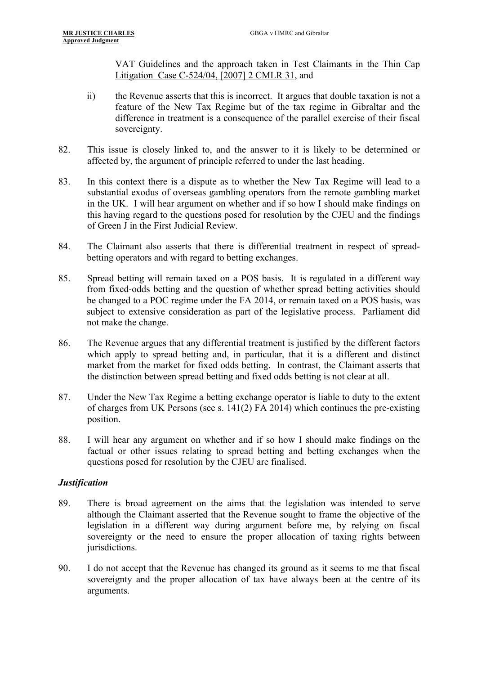VAT Guidelines and the approach taken in Test Claimants in the Thin Cap Litigation Case C-524/04, [2007] 2 CMLR 31, and

- ii) the Revenue asserts that this is incorrect. It argues that double taxation is not a feature of the New Tax Regime but of the tax regime in Gibraltar and the difference in treatment is a consequence of the parallel exercise of their fiscal sovereignty.
- 82. This issue is closely linked to, and the answer to it is likely to be determined or affected by, the argument of principle referred to under the last heading.
- 83. In this context there is a dispute as to whether the New Tax Regime will lead to a substantial exodus of overseas gambling operators from the remote gambling market in the UK. I will hear argument on whether and if so how I should make findings on this having regard to the questions posed for resolution by the CJEU and the findings of Green J in the First Judicial Review.
- 84. The Claimant also asserts that there is differential treatment in respect of spreadbetting operators and with regard to betting exchanges.
- 85. Spread betting will remain taxed on a POS basis. It is regulated in a different way from fixed-odds betting and the question of whether spread betting activities should be changed to a POC regime under the FA 2014, or remain taxed on a POS basis, was subject to extensive consideration as part of the legislative process. Parliament did not make the change.
- 86. The Revenue argues that any differential treatment is justified by the different factors which apply to spread betting and, in particular, that it is a different and distinct market from the market for fixed odds betting. In contrast, the Claimant asserts that the distinction between spread betting and fixed odds betting is not clear at all.
- 87. Under the New Tax Regime a betting exchange operator is liable to duty to the extent of charges from UK Persons (see s. 141(2) FA 2014) which continues the pre-existing position.
- 88. I will hear any argument on whether and if so how I should make findings on the factual or other issues relating to spread betting and betting exchanges when the questions posed for resolution by the CJEU are finalised.

#### *Justification*

- 89. There is broad agreement on the aims that the legislation was intended to serve although the Claimant asserted that the Revenue sought to frame the objective of the legislation in a different way during argument before me, by relying on fiscal sovereignty or the need to ensure the proper allocation of taxing rights between jurisdictions.
- 90. I do not accept that the Revenue has changed its ground as it seems to me that fiscal sovereignty and the proper allocation of tax have always been at the centre of its arguments.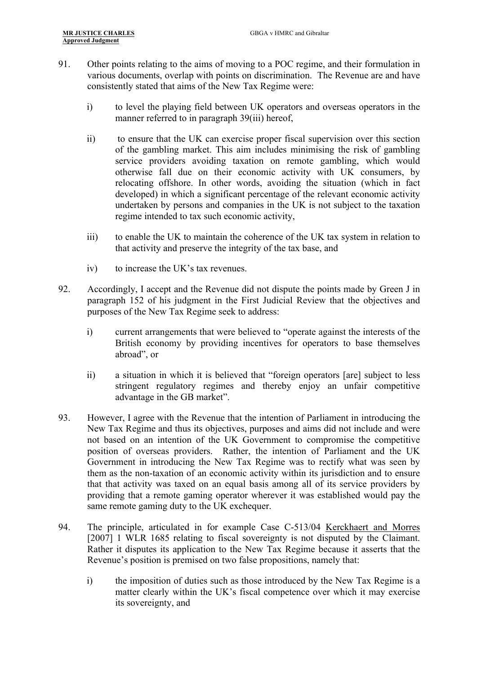- 91. Other points relating to the aims of moving to a POC regime, and their formulation in various documents, overlap with points on discrimination. The Revenue are and have consistently stated that aims of the New Tax Regime were:
	- i) to level the playing field between UK operators and overseas operators in the manner referred to in paragraph 39(iii) hereof,
	- ii) to ensure that the UK can exercise proper fiscal supervision over this section of the gambling market. This aim includes minimising the risk of gambling service providers avoiding taxation on remote gambling, which would otherwise fall due on their economic activity with UK consumers, by relocating offshore. In other words, avoiding the situation (which in fact developed) in which a significant percentage of the relevant economic activity undertaken by persons and companies in the UK is not subject to the taxation regime intended to tax such economic activity,
	- iii) to enable the UK to maintain the coherence of the UK tax system in relation to that activity and preserve the integrity of the tax base, and
	- iv) to increase the UK's tax revenues.
- 92. Accordingly, I accept and the Revenue did not dispute the points made by Green J in paragraph 152 of his judgment in the First Judicial Review that the objectives and purposes of the New Tax Regime seek to address:
	- i) current arrangements that were believed to "operate against the interests of the British economy by providing incentives for operators to base themselves abroad", or
	- ii) a situation in which it is believed that "foreign operators [are] subject to less stringent regulatory regimes and thereby enjoy an unfair competitive advantage in the GB market".
- 93. However, I agree with the Revenue that the intention of Parliament in introducing the New Tax Regime and thus its objectives, purposes and aims did not include and were not based on an intention of the UK Government to compromise the competitive position of overseas providers. Rather, the intention of Parliament and the UK Government in introducing the New Tax Regime was to rectify what was seen by them as the non-taxation of an economic activity within its jurisdiction and to ensure that that activity was taxed on an equal basis among all of its service providers by providing that a remote gaming operator wherever it was established would pay the same remote gaming duty to the UK exchequer.
- 94. The principle, articulated in for example Case C-513/04 Kerckhaert and Morres [2007] 1 WLR 1685 relating to fiscal sovereignty is not disputed by the Claimant. Rather it disputes its application to the New Tax Regime because it asserts that the Revenue's position is premised on two false propositions, namely that:
	- i) the imposition of duties such as those introduced by the New Tax Regime is a matter clearly within the UK's fiscal competence over which it may exercise its sovereignty, and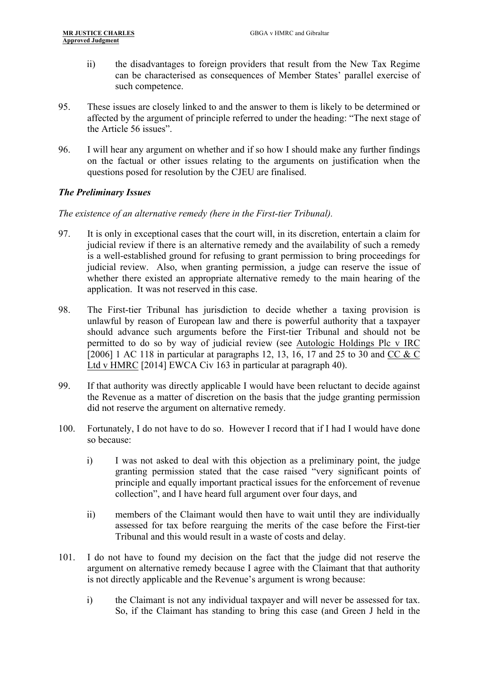- ii) the disadvantages to foreign providers that result from the New Tax Regime can be characterised as consequences of Member States' parallel exercise of such competence.
- 95. These issues are closely linked to and the answer to them is likely to be determined or affected by the argument of principle referred to under the heading: "The next stage of the Article 56 issues".
- 96. I will hear any argument on whether and if so how I should make any further findings on the factual or other issues relating to the arguments on justification when the questions posed for resolution by the CJEU are finalised.

## *The Preliminary Issues*

*The existence of an alternative remedy (here in the First-tier Tribunal).*

- 97. It is only in exceptional cases that the court will, in its discretion, entertain a claim for judicial review if there is an alternative remedy and the availability of such a remedy is a well-established ground for refusing to grant permission to bring proceedings for judicial review. Also, when granting permission, a judge can reserve the issue of whether there existed an appropriate alternative remedy to the main hearing of the application. It was not reserved in this case.
- 98. The First-tier Tribunal has jurisdiction to decide whether a taxing provision is unlawful by reason of European law and there is powerful authority that a taxpayer should advance such arguments before the First-tier Tribunal and should not be permitted to do so by way of judicial review (see Autologic Holdings Plc v IRC [2006] 1 AC 118 in particular at paragraphs 12, 13, 16, 17 and 25 to 30 and CC & C Ltd v HMRC [2014] EWCA Civ 163 in particular at paragraph 40).
- 99. If that authority was directly applicable I would have been reluctant to decide against the Revenue as a matter of discretion on the basis that the judge granting permission did not reserve the argument on alternative remedy.
- 100. Fortunately, I do not have to do so. However I record that if I had I would have done so because:
	- i) I was not asked to deal with this objection as a preliminary point, the judge granting permission stated that the case raised "very significant points of principle and equally important practical issues for the enforcement of revenue collection", and I have heard full argument over four days, and
	- ii) members of the Claimant would then have to wait until they are individually assessed for tax before rearguing the merits of the case before the First-tier Tribunal and this would result in a waste of costs and delay.
- 101. I do not have to found my decision on the fact that the judge did not reserve the argument on alternative remedy because I agree with the Claimant that that authority is not directly applicable and the Revenue's argument is wrong because:
	- i) the Claimant is not any individual taxpayer and will never be assessed for tax. So, if the Claimant has standing to bring this case (and Green J held in the